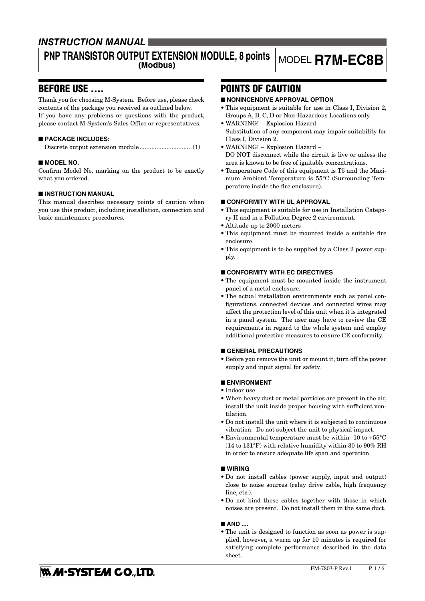## **INSTRUCTION MANUAL**

# **PNP TRANSISTOR OUTPUT EXTENSION MODULE, 8 points**

## **(Modbus)** MODEL **R7M-EC8B**

## BEFORE USE ....

Thank you for choosing M-System. Before use, please check contents of the package you received as outlined below. If you have any problems or questions with the product, please contact M-System's Sales Office or representatives.

#### ■ **PACKAGE INCLUDES:**

Discrete output extension module...............................(1)

#### ■ **MODEL NO.**

Confirm Model No. marking on the product to be exactly what you ordered.

#### ■ **INSTRUCTION MANUAL**

This manual describes necessary points of caution when you use this product, including installation, connection and basic maintenance procedures.

## POINTS OF CAUTION

#### ■ **NONINCENDIVE APPROVAL OPTION**

- This equipment is suitable for use in Class I, Division 2, Groups A, B, C, D or Non-Hazardous Locations only.
- WARNING! Explosion Hazard Substitution of any component may impair suitability for Class I, Division 2.
- WARNING! Explosion Hazard DO NOT disconnect while the circuit is live or unless the area is known to be free of ignitable concentrations.
- Temperature Code of this equipment is T5 and the Maximum Ambient Temperature is 55°C (Surrounding Temperature inside the fire enclosure).

#### ■ **CONFORMITY WITH UL APPROVAL**

- This equipment is suitable for use in Installation Category II and in a Pollution Degree 2 environment.
- Altitude up to 2000 meters
- This equipment must be mounted inside a suitable fire enclosure.
- This equipment is to be supplied by a Class 2 power supply.

#### ■ **CONFORMITY WITH EC DIRECTIVES**

- The equipment must be mounted inside the instrument panel of a metal enclosure.
- The actual installation environments such as panel configurations, connected devices and connected wires may affect the protection level of this unit when it is integrated in a panel system. The user may have to review the CE requirements in regard to the whole system and employ additional protective measures to ensure CE conformity.

#### ■ **GENERAL PRECAUTIONS**

• Before you remove the unit or mount it, turn off the power supply and input signal for safety.

#### ■ **ENVIRONMENT**

- Indoor use
- When heavy dust or metal particles are present in the air, install the unit inside proper housing with sufficient ventilation.
- Do not install the unit where it is subjected to continuous vibration. Do not subject the unit to physical impact.
- Environmental temperature must be within -10 to +55°C (14 to 131°F) with relative humidity within 30 to 90% RH in order to ensure adequate life span and operation.

#### ■ **WIRING**

- Do not install cables (power supply, input and output) close to noise sources (relay drive cable, high frequency line, etc.).
- Do not bind these cables together with those in which noises are present. Do not install them in the same duct.

#### ■ AND ....

• The unit is designed to function as soon as power is supplied, however, a warm up for 10 minutes is required for satisfying complete performance described in the data sheet.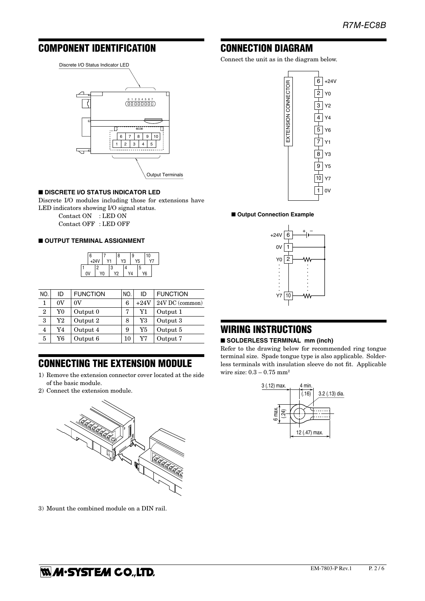## COMPONENT IDENTIFICATION



#### ■ **DISCRETE I/O STATUS INDICATOR LED**

Discrete I/O modules including those for extensions have LED indicators showing I/O signal status.

 Contact ON : LED ON Contact OFF : LED OFF

#### ■ **OUTPUT TERMINAL ASSIGNMENT**



| NO.            | ID | <b>FUNCTION</b> | NO. | ID       | <b>FUNCTION</b> |
|----------------|----|-----------------|-----|----------|-----------------|
| 1              | 0V | $_{0V}$         | 6   | $+24V$   | 24V DC (common) |
| 2              | Y0 | Output 0        | 7   | Y1       | Output 1        |
| 3              | Y2 | Output 2        | 8   | $\rm Y3$ | Output 3        |
| $\overline{4}$ | Y4 | Output 4        | 9   | Y5       | Output 5        |
| 5              | Y6 | Output 6        | 10  | Y7       | Output 7        |

## CONNECTING THE EXTENSION MODULE

- 1) Remove the extension connector cover located at the side of the basic module.
- 2) Connect the extension module.



3) Mount the combined module on a DIN rail.

## CONNECTION DIAGRAM

Connect the unit as in the diagram below.



■ Output Connection Example



## WIRING INSTRUCTIONS

#### ■ **SOLDERLESS TERMINAL** mm (inch)

Refer to the drawing below for recommended ring tongue terminal size. Spade tongue type is also applicable. Solderless terminals with insulation sleeve do not fit. Applicable wire size:  $0.3 - 0.75$  mm<sup>2</sup>

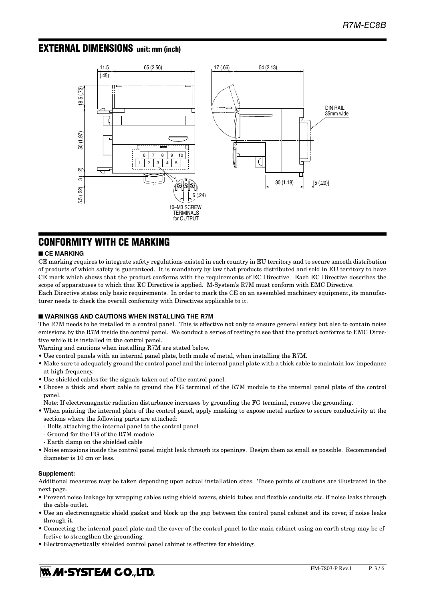### EXTERNAL DIMENSIONS unit: mm (inch)



## CONFORMITY WITH CE MARKING

#### ■ **CE MARKING**

CE marking requires to integrate safety regulations existed in each country in EU territory and to secure smooth distribution of products of which safety is guaranteed. It is mandatory by law that products distributed and sold in EU territory to have CE mark which shows that the product conforms with the requirements of EC Directive. Each EC Directive describes the scope of apparatuses to which that EC Directive is applied. M-System's R7M must conform with EMC Directive.

Each Directive states only basic requirements. In order to mark the CE on an assembled machinery equipment, its manufacturer needs to check the overall conformity with Directives applicable to it.

#### ■ **WARNINGS AND CAUTIONS WHEN INSTALLING THE R7M**

The R7M needs to be installed in a control panel. This is effective not only to ensure general safety but also to contain noise emissions by the R7M inside the control panel. We conduct a series of testing to see that the product conforms to EMC Directive while it is installed in the control panel.

- Warning and cautions when installing R7M are stated below.
- Use control panels with an internal panel plate, both made of metal, when installing the R7M.
- Make sure to adequately ground the control panel and the internal panel plate with a thick cable to maintain low impedance at high frequency.
- Use shielded cables for the signals taken out of the control panel.
- Choose a thick and short cable to ground the FG terminal of the R7M module to the internal panel plate of the control panel.
- Note: If electromagnetic radiation disturbance increases by grounding the FG terminal, remove the grounding.
- When painting the internal plate of the control panel, apply masking to expose metal surface to secure conductivity at the sections where the following parts are attached:
- Bolts attaching the internal panel to the control panel
- Ground for the FG of the R7M module
- Earth clamp on the shielded cable
- Noise emissions inside the control panel might leak through its openings. Design them as small as possible. Recommended diameter is 10 cm or less.

#### **Supplement:**

Additional measures may be taken depending upon actual installation sites. These points of cautions are illustrated in the next page.

- Prevent noise leakage by wrapping cables using shield covers, shield tubes and flexible conduits etc. if noise leaks through the cable outlet.
- Use an electromagnetic shield gasket and block up the gap between the control panel cabinet and its cover, if noise leaks through it.
- Connecting the internal panel plate and the cover of the control panel to the main cabinet using an earth strap may be effective to strengthen the grounding.
- Electromagnetically shielded control panel cabinet is effective for shielding.

## **WA-SYSTEM CO.,LTD.**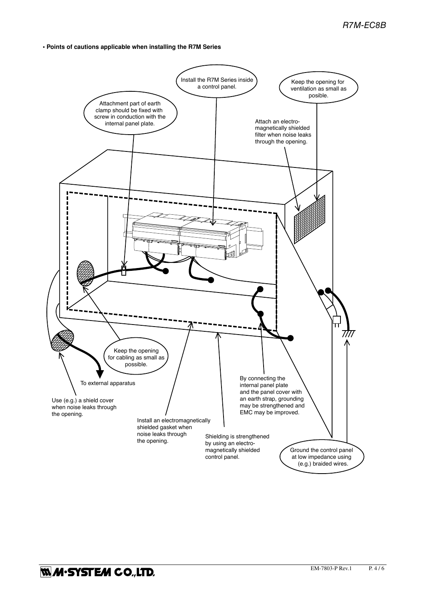**• Points of cautions applicable when installing the R7M Series**

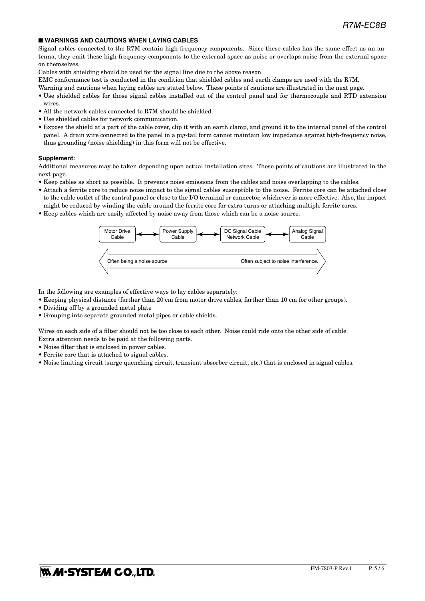#### ■ **WARNINGS AND CAUTIONS WHEN LAYING CABLES**

Signal cables connected to the R7M contain high-frequency components. Since these cables has the same effect as an antenna, they emit these high-frequency components to the external space as noise or overlaps noise from the external space on themselves.

Cables with shielding should be used for the signal line due to the above reason.

EMC conformance test is conducted in the condition that shielded cables and earth clamps are used with the R7M.

Warning and cautions when laying cables are stated below. These points of cautions are illustrated in the next page.

- Use shielded cables for those signal cables installed out of the control panel and for thermocouple and RTD extension wires.
- All the network cables connected to R7M should be shielded.
- Use shielded cables for network communication.
- Expose the shield at a part of the cable cover, clip it with an earth clamp, and ground it to the internal panel of the control panel. A drain wire connected to the panel in a pig-tail form cannot maintain low impedance against high-frequency noise, thus grounding (noise shielding) in this form will not be effective.

#### **Supplement:**

Additional measures may be taken depending upon actual installation sites. These points of cautions are illustrated in the next page.

- Keep cables as short as possible. It prevents noise emissions from the cables and noise overlapping to the cables.
- Attach a ferrite core to reduce noise impact to the signal cables susceptible to the noise. Ferrite core can be attached close to the cable outlet of the control panel or close to the I/O terminal or connector, whichever is more effective. Also, the impact might be reduced by winding the cable around the ferrite core for extra turns or attaching multiple ferrite cores.
- Keep cables which are easily affected by noise away from those which can be a noise source.



In the following are examples of effective ways to lay cables separately:

- Keeping physical distance (farther than 20 cm from motor drive cables, farther than 10 cm for other groups).
- Dividing off by a grounded metal plate
- Grouping into separate grounded metal pipes or cable shields.

Wires on each side of a filter should not be too close to each other. Noise could ride onto the other side of cable. Extra attention needs to be paid at the following parts.

• Noise filter that is enclosed in power cables.

- Ferrite core that is attached to signal cables.
- Noise limiting circuit (surge quenching circuit, transient absorber circuit, etc.) that is enclosed in signal cables.